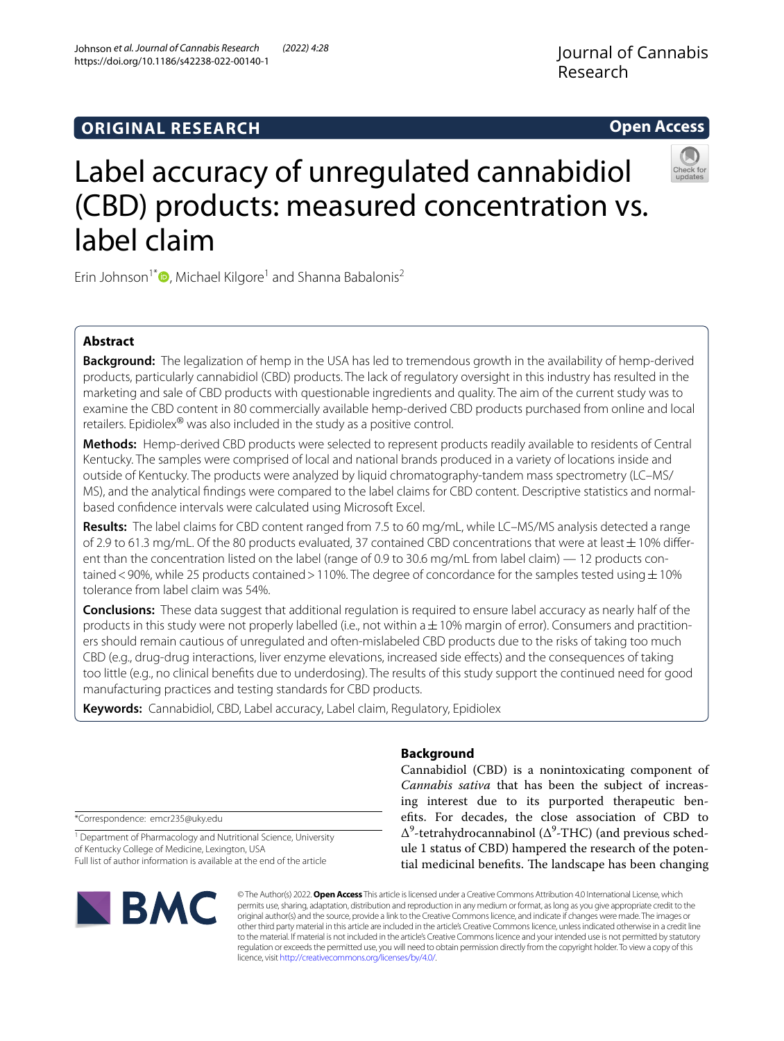# **ORIGINAL RESEARCH**

# Label accuracy of unregulated cannabidiol (CBD) products: measured concentration vs. label claim

Erin Johnson<sup>1[\\*](http://orcid.org/0000-0003-0313-6221)</sup><sup>O</sup>, Michael Kilgore<sup>1</sup> and Shanna Babalonis<sup>2</sup>

# **Abstract**

**Background:** The legalization of hemp in the USA has led to tremendous growth in the availability of hemp-derived products, particularly cannabidiol (CBD) products. The lack of regulatory oversight in this industry has resulted in the marketing and sale of CBD products with questionable ingredients and quality. The aim of the current study was to examine the CBD content in 80 commercially available hemp-derived CBD products purchased from online and local retailers. Epidiolex<sup>®</sup> was also included in the study as a positive control.

**Methods:** Hemp-derived CBD products were selected to represent products readily available to residents of Central Kentucky. The samples were comprised of local and national brands produced in a variety of locations inside and outside of Kentucky. The products were analyzed by liquid chromatography-tandem mass spectrometry (LC–MS/ MS), and the analytical fndings were compared to the label claims for CBD content. Descriptive statistics and normalbased confdence intervals were calculated using Microsoft Excel.

**Results:** The label claims for CBD content ranged from 7.5 to 60 mg/mL, while LC–MS/MS analysis detected a range of 2.9 to 61.3 mg/mL. Of the 80 products evaluated, 37 contained CBD concentrations that were at least  $\pm$  10% different than the concentration listed on the label (range of 0.9 to 30.6 mg/mL from label claim) — 12 products contained <90%, while 25 products contained >110%. The degree of concordance for the samples tested using  $\pm$ 10% tolerance from label claim was 54%.

**Conclusions:** These data suggest that additional regulation is required to ensure label accuracy as nearly half of the products in this study were not properly labelled (i.e., not within  $a \pm 10\%$  margin of error). Consumers and practitioners should remain cautious of unregulated and often-mislabeled CBD products due to the risks of taking too much CBD (e.g., drug-drug interactions, liver enzyme elevations, increased side efects) and the consequences of taking too little (e.g., no clinical benefts due to underdosing). The results of this study support the continued need for good manufacturing practices and testing standards for CBD products.

**Keywords:** Cannabidiol, CBD, Label accuracy, Label claim, Regulatory, Epidiolex

# **Background**

Cannabidiol (CBD) is a nonintoxicating component of *Cannabis sativa* that has been the subject of increasing interest due to its purported therapeutic benefts. For decades, the close association of CBD to  $\Delta^9$ -tetrahydrocannabinol ( $\Delta^9$ -THC) (and previous schedule 1 status of CBD) hampered the research of the potential medicinal benefits. The landscape has been changing

\*Correspondence: emcr235@uky.edu

**BMC** 

<sup>1</sup> Department of Pharmacology and Nutritional Science, University of Kentucky College of Medicine, Lexington, USA Full list of author information is available at the end of the article

> © The Author(s) 2022. **Open Access** This article is licensed under a Creative Commons Attribution 4.0 International License, which permits use, sharing, adaptation, distribution and reproduction in any medium or format, as long as you give appropriate credit to the original author(s) and the source, provide a link to the Creative Commons licence, and indicate if changes were made. The images or other third party material in this article are included in the article's Creative Commons licence, unless indicated otherwise in a credit line to the material. If material is not included in the article's Creative Commons licence and your intended use is not permitted by statutory regulation or exceeds the permitted use, you will need to obtain permission directly from the copyright holder. To view a copy of this licence, visit [http://creativecommons.org/licenses/by/4.0/.](http://creativecommons.org/licenses/by/4.0/)

Johnson *et al. Journal of Cannabis Research (2022) 4:28*  https://doi.org/10.1186/s42238-022-00140-1



**Open Access**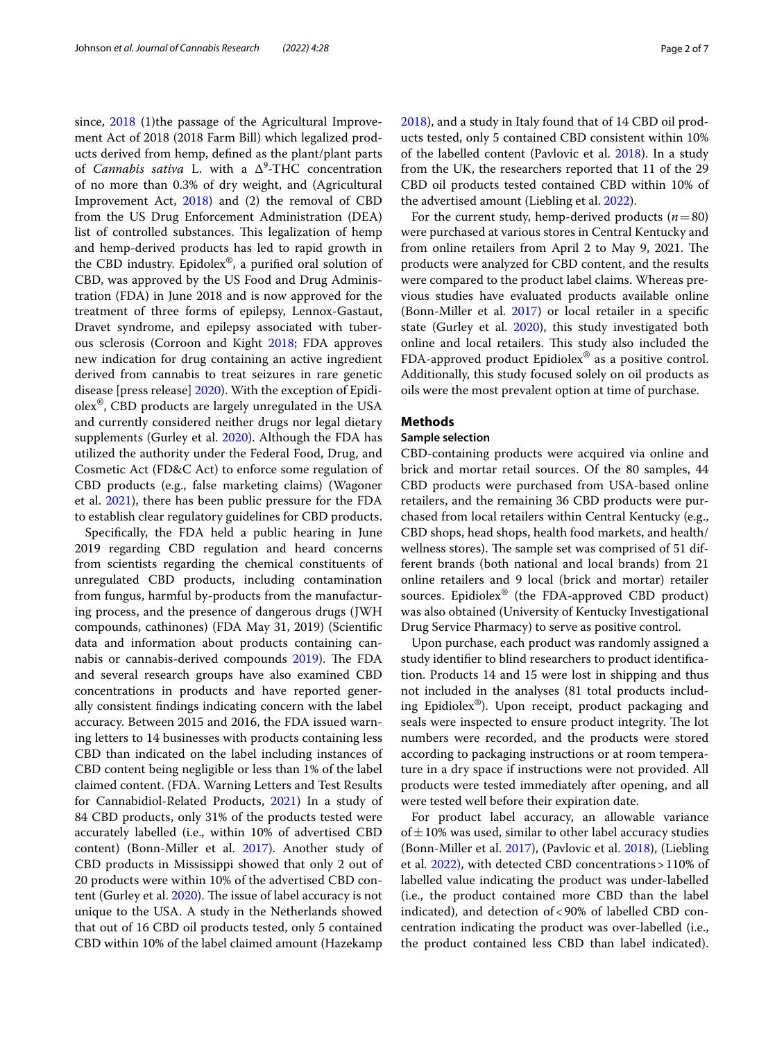since, [2018](#page-6-0) (1)the passage of the Agricultural Improvement Act of 2018 (2018 Farm Bill) which legalized products derived from hemp, defned as the plant/plant parts of *Cannabis sativa* L. with a Δ<sup>9</sup> -THC concentration of no more than 0.3% of dry weight, and (Agricultural Improvement Act, [2018\)](#page-6-0) and (2) the removal of CBD from the US Drug Enforcement Administration (DEA) list of controlled substances. This legalization of hemp and hemp-derived products has led to rapid growth in the CBD industry. Epidolex®, a purifed oral solution of CBD, was approved by the US Food and Drug Administration (FDA) in June 2018 and is now approved for the treatment of three forms of epilepsy, Lennox-Gastaut, Dravet syndrome, and epilepsy associated with tuberous sclerosis (Corroon and Kight [2018;](#page-6-1) FDA approves new indication for drug containing an active ingredient derived from cannabis to treat seizures in rare genetic disease [press release] [2020\)](#page-6-2). With the exception of Epidiolex®, CBD products are largely unregulated in the USA and currently considered neither drugs nor legal dietary supplements (Gurley et al. [2020](#page-6-3)). Although the FDA has utilized the authority under the Federal Food, Drug, and Cosmetic Act (FD&C Act) to enforce some regulation of CBD products (e.g., false marketing claims) (Wagoner et al. [2021\)](#page-6-4), there has been public pressure for the FDA to establish clear regulatory guidelines for CBD products.

Specifcally, the FDA held a public hearing in June 2019 regarding CBD regulation and heard concerns from scientists regarding the chemical constituents of unregulated CBD products, including contamination from fungus, harmful by-products from the manufacturing process, and the presence of dangerous drugs (JWH compounds, cathinones) (FDA May 31, 2019) (Scientifc data and information about products containing cannabis or cannabis-derived compounds  $2019$ ). The FDA and several research groups have also examined CBD concentrations in products and have reported generally consistent fndings indicating concern with the label accuracy. Between 2015 and 2016, the FDA issued warning letters to 14 businesses with products containing less CBD than indicated on the label including instances of CBD content being negligible or less than 1% of the label claimed content. (FDA. Warning Letters and Test Results for Cannabidiol-Related Products, [2021](#page-6-6)) In a study of 84 CBD products, only 31% of the products tested were accurately labelled (i.e., within 10% of advertised CBD content) (Bonn-Miller et al. [2017\)](#page-6-7). Another study of CBD products in Mississippi showed that only 2 out of 20 products were within 10% of the advertised CBD con-tent (Gurley et al. [2020\)](#page-6-3). The issue of label accuracy is not unique to the USA. A study in the Netherlands showed that out of 16 CBD oil products tested, only 5 contained CBD within 10% of the label claimed amount (Hazekamp [2018](#page-6-8)), and a study in Italy found that of 14 CBD oil products tested, only 5 contained CBD consistent within 10% of the labelled content (Pavlovic et al. [2018](#page-6-9)). In a study from the UK, the researchers reported that 11 of the 29 CBD oil products tested contained CBD within 10% of the advertised amount (Liebling et al. [2022\)](#page-6-10).

For the current study, hemp-derived products  $(n=80)$ were purchased at various stores in Central Kentucky and from online retailers from April 2 to May 9, 2021. The products were analyzed for CBD content, and the results were compared to the product label claims. Whereas previous studies have evaluated products available online (Bonn-Miller et al. [2017](#page-6-7)) or local retailer in a specifc state (Gurley et al. [2020\)](#page-6-3), this study investigated both online and local retailers. This study also included the FDA-approved product Epidiolex® as a positive control. Additionally, this study focused solely on oil products as oils were the most prevalent option at time of purchase.

### **Methods**

## **Sample selection**

CBD-containing products were acquired via online and brick and mortar retail sources. Of the 80 samples, 44 CBD products were purchased from USA-based online retailers, and the remaining 36 CBD products were purchased from local retailers within Central Kentucky (e.g., CBD shops, head shops, health food markets, and health/ wellness stores). The sample set was comprised of 51 different brands (both national and local brands) from 21 online retailers and 9 local (brick and mortar) retailer sources. Epidiolex® (the FDA-approved CBD product) was also obtained (University of Kentucky Investigational Drug Service Pharmacy) to serve as positive control.

Upon purchase, each product was randomly assigned a study identifer to blind researchers to product identifcation. Products 14 and 15 were lost in shipping and thus not included in the analyses (81 total products including Epidiolex®). Upon receipt, product packaging and seals were inspected to ensure product integrity. The lot numbers were recorded, and the products were stored according to packaging instructions or at room temperature in a dry space if instructions were not provided. All products were tested immediately after opening, and all were tested well before their expiration date.

For product label accuracy, an allowable variance of  $\pm$  10% was used, similar to other label accuracy studies (Bonn-Miller et al. [2017\)](#page-6-7), (Pavlovic et al. [2018](#page-6-9)), (Liebling et al. [2022](#page-6-10)), with detected CBD concentrations>110% of labelled value indicating the product was under-labelled (i.e., the product contained more CBD than the label indicated), and detection of<90% of labelled CBD concentration indicating the product was over-labelled (i.e., the product contained less CBD than label indicated).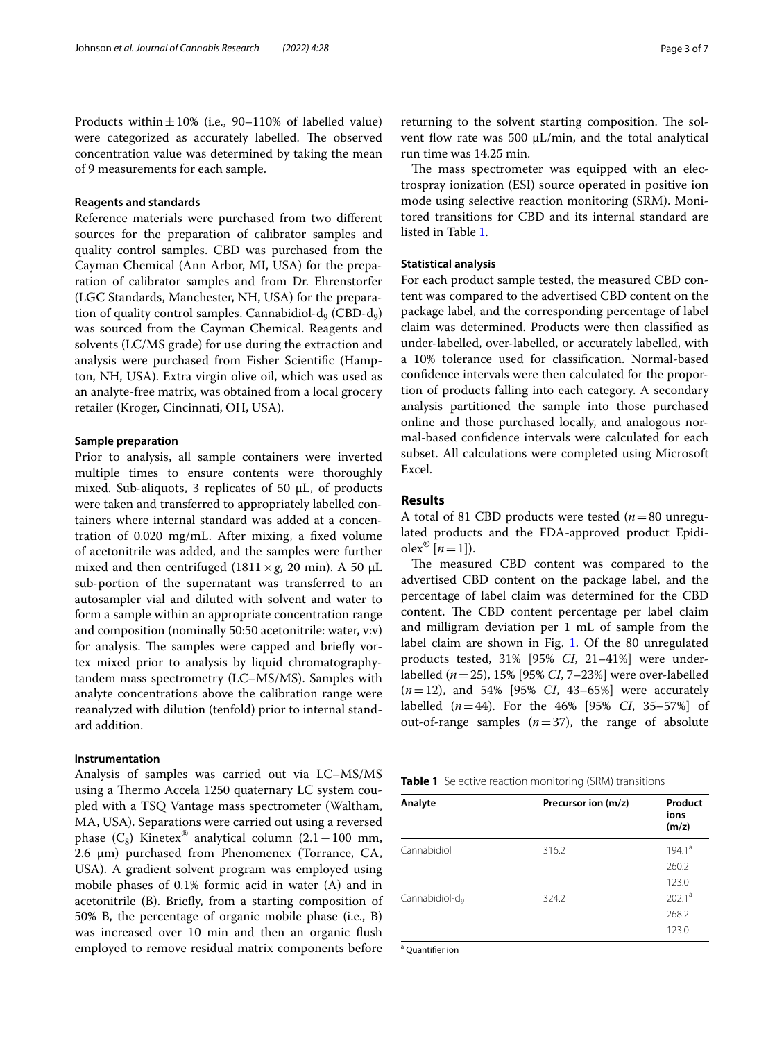Products within $\pm 10\%$  (i.e., 90–110% of labelled value) were categorized as accurately labelled. The observed concentration value was determined by taking the mean of 9 measurements for each sample.

#### **Reagents and standards**

Reference materials were purchased from two diferent sources for the preparation of calibrator samples and quality control samples. CBD was purchased from the Cayman Chemical (Ann Arbor, MI, USA) for the preparation of calibrator samples and from Dr. Ehrenstorfer (LGC Standards, Manchester, NH, USA) for the preparation of quality control samples. Cannabidiol- $d_q$  (CBD- $d_q$ ) was sourced from the Cayman Chemical. Reagents and solvents (LC/MS grade) for use during the extraction and analysis were purchased from Fisher Scientifc (Hampton, NH, USA). Extra virgin olive oil, which was used as an analyte-free matrix, was obtained from a local grocery retailer (Kroger, Cincinnati, OH, USA).

#### **Sample preparation**

Prior to analysis, all sample containers were inverted multiple times to ensure contents were thoroughly mixed. Sub-aliquots, 3 replicates of 50 μL, of products were taken and transferred to appropriately labelled containers where internal standard was added at a concentration of 0.020 mg/mL. After mixing, a fxed volume of acetonitrile was added, and the samples were further mixed and then centrifuged (1811  $\times$  *g*, 20 min). A 50  $\mu$ L sub-portion of the supernatant was transferred to an autosampler vial and diluted with solvent and water to form a sample within an appropriate concentration range and composition (nominally 50:50 acetonitrile: water, v:v) for analysis. The samples were capped and briefly vortex mixed prior to analysis by liquid chromatographytandem mass spectrometry (LC–MS/MS). Samples with analyte concentrations above the calibration range were reanalyzed with dilution (tenfold) prior to internal standard addition.

#### **Instrumentation**

Analysis of samples was carried out via LC–MS/MS using a Thermo Accela 1250 quaternary LC system coupled with a TSQ Vantage mass spectrometer (Waltham, MA, USA). Separations were carried out using a reversed phase ( $C_8$ ) Kinetex<sup>®</sup> analytical column (2.1 – 100 mm, 2.6 μm) purchased from Phenomenex (Torrance, CA, USA). A gradient solvent program was employed using mobile phases of 0.1% formic acid in water (A) and in acetonitrile (B). Briefy, from a starting composition of 50% B, the percentage of organic mobile phase (i.e., B) was increased over 10 min and then an organic fush employed to remove residual matrix components before returning to the solvent starting composition. The solvent flow rate was 500  $\mu$ L/min, and the total analytical run time was 14.25 min.

The mass spectrometer was equipped with an electrospray ionization (ESI) source operated in positive ion mode using selective reaction monitoring (SRM). Monitored transitions for CBD and its internal standard are listed in Table [1.](#page-2-0)

# **Statistical analysis**

For each product sample tested, the measured CBD content was compared to the advertised CBD content on the package label, and the corresponding percentage of label claim was determined. Products were then classifed as under-labelled, over-labelled, or accurately labelled, with a 10% tolerance used for classifcation. Normal-based confdence intervals were then calculated for the proportion of products falling into each category. A secondary analysis partitioned the sample into those purchased online and those purchased locally, and analogous normal-based confdence intervals were calculated for each subset. All calculations were completed using Microsoft Excel.

# **Results**

A total of 81 CBD products were tested (*n*=80 unregulated products and the FDA-approved product Epidi- $\text{olex}^{\circledR}$  [*n* = 1]).

The measured CBD content was compared to the advertised CBD content on the package label, and the percentage of label claim was determined for the CBD content. The CBD content percentage per label claim and milligram deviation per 1 mL of sample from the label claim are shown in Fig. [1.](#page-3-0) Of the 80 unregulated products tested, 31% [95% *CI*, 21–41%] were underlabelled (*n*=25), 15% [95% *CI*, 7–23%] were over-labelled (*n*=12), and 54% [95% *CI*, 43–65%] were accurately labelled (*n*=44). For the 46% [95% *CI*, 35–57%] of out-of-range samples  $(n=37)$ , the range of absolute

<span id="page-2-0"></span>

|  |  |  | <b>Table 1</b> Selective reaction monitoring (SRM) transitions |  |  |
|--|--|--|----------------------------------------------------------------|--|--|
|--|--|--|----------------------------------------------------------------|--|--|

| Analyte                    | Precursor ion (m/z) | Product<br>ions<br>(m/z) |
|----------------------------|---------------------|--------------------------|
| Cannabidiol                | 316.2               | $194.1^a$                |
|                            |                     | 260.2                    |
|                            |                     | 123.0                    |
| Cannabidiol-d <sub>e</sub> | 324.2               | 202.1 <sup>a</sup>       |
|                            |                     | 268.2                    |
|                            |                     | 123.0                    |

<sup>a</sup> Quantifier ion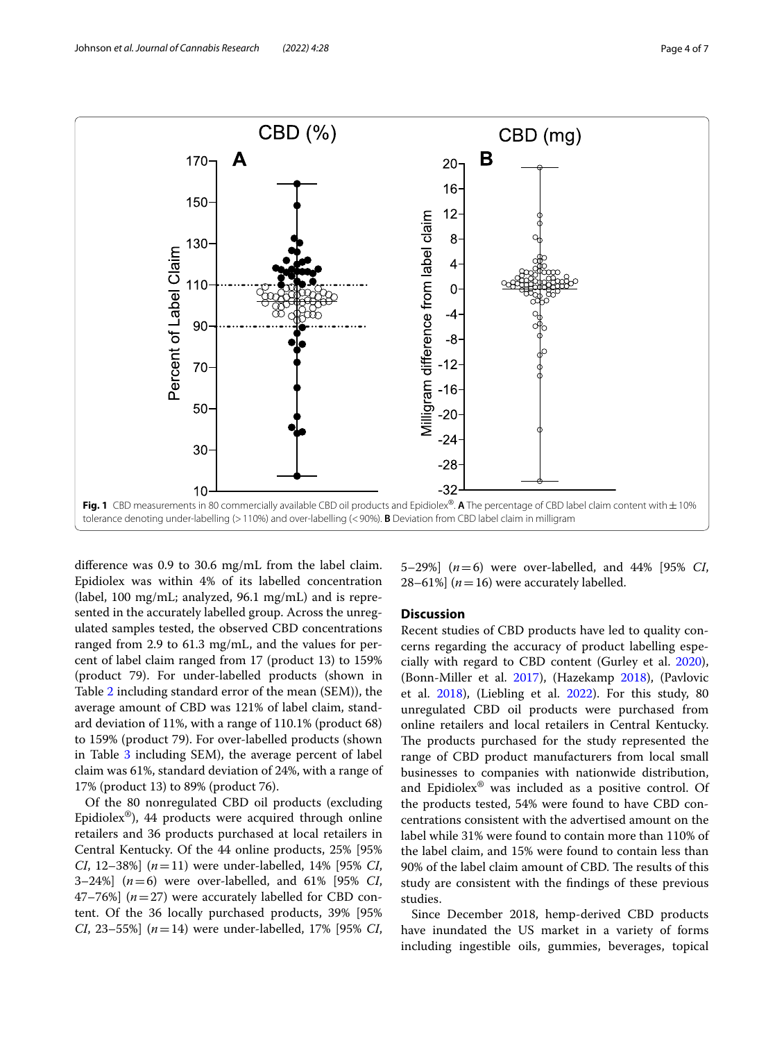

<span id="page-3-0"></span>diference was 0.9 to 30.6 mg/mL from the label claim. Epidiolex was within 4% of its labelled concentration (label, 100 mg/mL; analyzed, 96.1 mg/mL) and is represented in the accurately labelled group. Across the unregulated samples tested, the observed CBD concentrations ranged from 2.9 to 61.3 mg/mL, and the values for percent of label claim ranged from 17 (product 13) to 159% (product 79). For under-labelled products (shown in Table [2](#page-4-0) including standard error of the mean (SEM)), the average amount of CBD was 121% of label claim, standard deviation of 11%, with a range of 110.1% (product 68) to 159% (product 79). For over-labelled products (shown in Table  $3$  including SEM), the average percent of label claim was 61%, standard deviation of 24%, with a range of 17% (product 13) to 89% (product 76).

Of the 80 nonregulated CBD oil products (excluding Epidiolex<sup>®</sup>), 44 products were acquired through online retailers and 36 products purchased at local retailers in Central Kentucky. Of the 44 online products, 25% [95% *CI*, 12–38%] (*n*=11) were under-labelled, 14% [95% *CI*, 3–24%] (*n*=6) were over-labelled, and 61% [95% *CI*, 47–76%] (*n*=27) were accurately labelled for CBD content. Of the 36 locally purchased products, 39% [95% *CI*, 23–55%] (*n*=14) were under-labelled, 17% [95% *CI*, 5–29%] (*n*=6) were over-labelled, and 44% [95% *CI*, 28–61%]  $(n=16)$  were accurately labelled.

# **Discussion**

Recent studies of CBD products have led to quality concerns regarding the accuracy of product labelling especially with regard to CBD content (Gurley et al. [2020](#page-6-3)), (Bonn-Miller et al. [2017\)](#page-6-7), (Hazekamp [2018](#page-6-8)), (Pavlovic et al. [2018\)](#page-6-9), (Liebling et al. [2022](#page-6-10)). For this study, 80 unregulated CBD oil products were purchased from online retailers and local retailers in Central Kentucky. The products purchased for the study represented the range of CBD product manufacturers from local small businesses to companies with nationwide distribution, and Epidiolex® was included as a positive control. Of the products tested, 54% were found to have CBD concentrations consistent with the advertised amount on the label while 31% were found to contain more than 110% of the label claim, and 15% were found to contain less than 90% of the label claim amount of CBD. The results of this study are consistent with the fndings of these previous studies.

Since December 2018, hemp-derived CBD products have inundated the US market in a variety of forms including ingestible oils, gummies, beverages, topical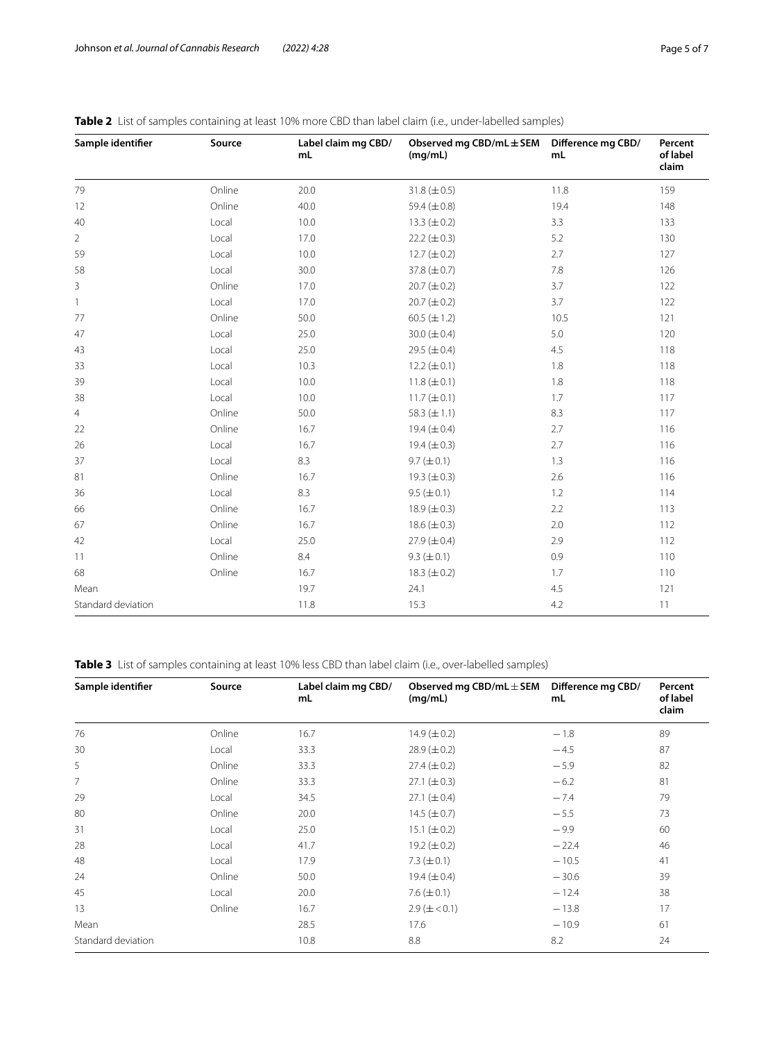| Sample identifier  | Source | Label claim mg CBD/<br>mL | Observed mg $CBD/mL \pm SEM$<br>(mq/mL) | Difference mg CBD/<br>mL | Percent<br>of label<br>claim |
|--------------------|--------|---------------------------|-----------------------------------------|--------------------------|------------------------------|
| 79                 | Online | 20.0                      | $31.8 (\pm 0.5)$                        | 11.8                     | 159                          |
| 12                 | Online | 40.0                      | 59.4 $(\pm 0.8)$                        | 19.4                     | 148                          |
| 40                 | Local  | 10.0                      | 13.3 $(\pm 0.2)$                        | 3.3                      | 133                          |
| 2                  | Local  | 17.0                      | $22.2 (\pm 0.3)$                        | 5.2                      | 130                          |
| 59                 | Local  | 10.0                      | $12.7 (\pm 0.2)$                        | 2.7                      | 127                          |
| 58                 | Local  | 30.0                      | 37.8 $(\pm 0.7)$                        | 7.8                      | 126                          |
| 3                  | Online | 17.0                      | $20.7 (\pm 0.2)$                        | 3.7                      | 122                          |
| 1                  | Local  | 17.0                      | $20.7 (\pm 0.2)$                        | 3.7                      | 122                          |
| 77                 | Online | 50.0                      | 60.5 $(\pm 1.2)$                        | 10.5                     | 121                          |
| 47                 | Local  | 25.0                      | 30.0 ( $\pm$ 0.4)                       | 5.0                      | 120                          |
| 43                 | Local  | 25.0                      | 29.5 ( $\pm$ 0.4)                       | 4.5                      | 118                          |
| 33                 | Local  | 10.3                      | $12.2 (\pm 0.1)$                        | 1.8                      | 118                          |
| 39                 | Local  | 10.0                      | $11.8 (\pm 0.1)$                        | 1.8                      | 118                          |
| 38                 | Local  | 10.0                      | 11.7 $(\pm 0.1)$                        | 1.7                      | 117                          |
| 4                  | Online | 50.0                      | 58.3 $(\pm 1.1)$                        | 8.3                      | 117                          |
| 22                 | Online | 16.7                      | 19.4 $(\pm 0.4)$                        | 2.7                      | 116                          |
| 26                 | Local  | 16.7                      | 19.4 $(\pm 0.3)$                        | 2.7                      | 116                          |
| 37                 | Local  | 8.3                       | $9.7 (\pm 0.1)$                         | 1.3                      | 116                          |
| 81                 | Online | 16.7                      | 19.3 $(\pm 0.3)$                        | 2.6                      | 116                          |
| 36                 | Local  | 8.3                       | $9.5 (\pm 0.1)$                         | 1.2                      | 114                          |
| 66                 | Online | 16.7                      | 18.9 $(\pm 0.3)$                        | 2.2                      | 113                          |
| 67                 | Online | 16.7                      | 18.6 $(\pm 0.3)$                        | 2.0                      | 112                          |
| 42                 | Local  | 25.0                      | 27.9 $(\pm 0.4)$                        | 2.9                      | 112                          |
| 11                 | Online | 8.4                       | $9.3 (\pm 0.1)$                         | 0.9                      | 110                          |
| 68                 | Online | 16.7                      | 18.3 $(\pm 0.2)$                        | 1.7                      | 110                          |
| Mean               |        | 19.7                      | 24.1                                    | 4.5                      | 121                          |
| Standard deviation |        | 11.8                      | 15.3                                    | 4.2                      | 11                           |

# <span id="page-4-0"></span>**Table 2** List of samples containing at least 10% more CBD than label claim (i.e., under-labelled samples)

<span id="page-4-1"></span>**Table 3** List of samples containing at least 10% less CBD than label claim (i.e., over-labelled samples)

| Sample identifier  | Source | Label claim mg CBD/ | Observed mg CBD/mL $\pm$ SEM | Difference mg CBD/ | Percent           |
|--------------------|--------|---------------------|------------------------------|--------------------|-------------------|
|                    |        | mL                  | (mg/mL)                      | mL                 | of label<br>claim |
| 76                 | Online | 16.7                | 14.9 $(\pm 0.2)$             | $-1.8$             | 89                |
| 30                 | Local  | 33.3                | $28.9 (\pm 0.2)$             | $-4.5$             | 87                |
| 5                  | Online | 33.3                | $27.4 (\pm 0.2)$             | $-5.9$             | 82                |
| 7                  | Online | 33.3                | $27.1 (\pm 0.3)$             | $-6.2$             | 81                |
| 29                 | Local  | 34.5                | $27.1 (\pm 0.4)$             | $-7.4$             | 79                |
| 80                 | Online | 20.0                | 14.5 $(\pm 0.7)$             | $-5.5$             | 73                |
| 31                 | Local  | 25.0                | 15.1 $(\pm 0.2)$             | $-9.9$             | 60                |
| 28                 | Local  | 41.7                | 19.2 $(\pm 0.2)$             | $-22.4$            | 46                |
| 48                 | Local  | 17.9                | 7.3 $(\pm 0.1)$              | $-10.5$            | 41                |
| 24                 | Online | 50.0                | 19.4 $(\pm 0.4)$             | $-30.6$            | 39                |
| 45                 | Local  | 20.0                | 7.6 $(\pm 0.1)$              | $-12.4$            | 38                |
| 13                 | Online | 16.7                | $2.9 \ (\pm 0.1)$            | $-13.8$            | 17                |
| Mean               |        | 28.5                | 17.6                         | $-10.9$            | 61                |
| Standard deviation |        | 10.8                | 8.8                          | 8.2                | 24                |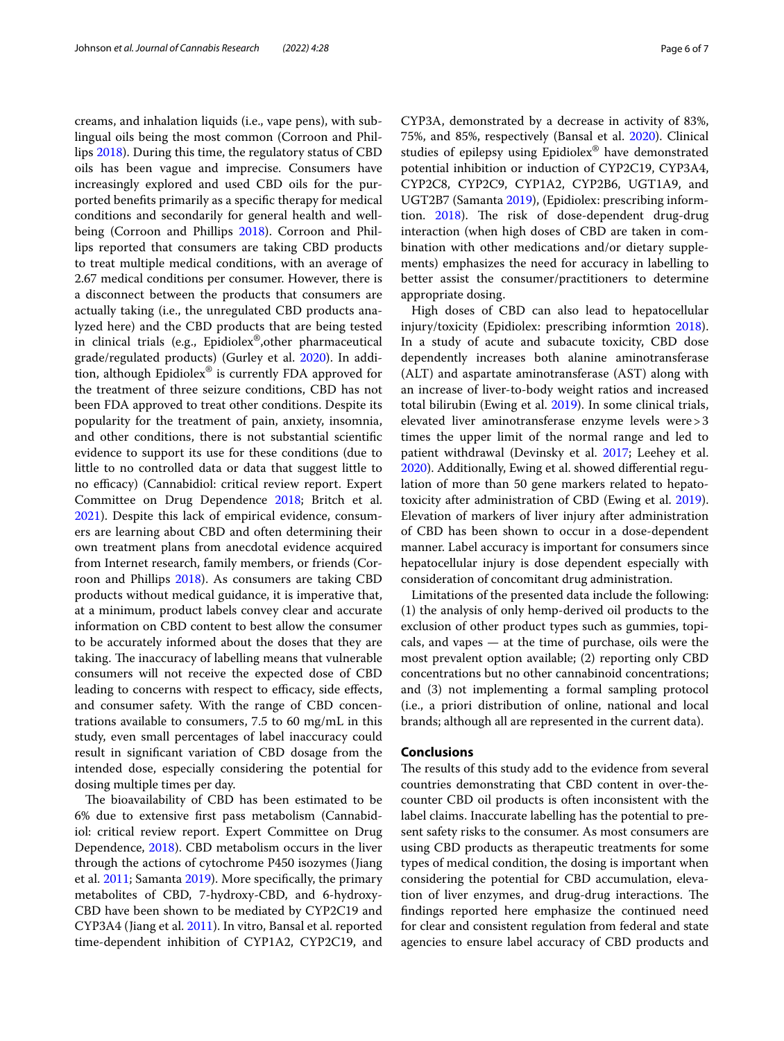creams, and inhalation liquids (i.e., vape pens), with sublingual oils being the most common (Corroon and Phillips [2018](#page-6-11)). During this time, the regulatory status of CBD oils has been vague and imprecise. Consumers have increasingly explored and used CBD oils for the purported benefts primarily as a specifc therapy for medical conditions and secondarily for general health and wellbeing (Corroon and Phillips [2018](#page-6-11)). Corroon and Phillips reported that consumers are taking CBD products to treat multiple medical conditions, with an average of 2.67 medical conditions per consumer. However, there is a disconnect between the products that consumers are actually taking (i.e., the unregulated CBD products analyzed here) and the CBD products that are being tested in clinical trials (e.g., Epidiolex®,other pharmaceutical grade/regulated products) (Gurley et al. [2020\)](#page-6-3). In addition, although Epidiolex® is currently FDA approved for the treatment of three seizure conditions, CBD has not been FDA approved to treat other conditions. Despite its popularity for the treatment of pain, anxiety, insomnia, and other conditions, there is not substantial scientifc evidence to support its use for these conditions (due to little to no controlled data or data that suggest little to no efficacy) (Cannabidiol: critical review report. Expert Committee on Drug Dependence [2018;](#page-6-12) Britch et al. [2021](#page-6-13)). Despite this lack of empirical evidence, consumers are learning about CBD and often determining their own treatment plans from anecdotal evidence acquired from Internet research, family members, or friends (Corroon and Phillips [2018\)](#page-6-11). As consumers are taking CBD products without medical guidance, it is imperative that, at a minimum, product labels convey clear and accurate information on CBD content to best allow the consumer to be accurately informed about the doses that they are taking. The inaccuracy of labelling means that vulnerable consumers will not receive the expected dose of CBD leading to concerns with respect to efficacy, side effects, and consumer safety. With the range of CBD concentrations available to consumers, 7.5 to 60 mg/mL in this study, even small percentages of label inaccuracy could result in signifcant variation of CBD dosage from the intended dose, especially considering the potential for dosing multiple times per day.

The bioavailability of CBD has been estimated to be 6% due to extensive frst pass metabolism (Cannabidiol: critical review report. Expert Committee on Drug Dependence, [2018\)](#page-6-12). CBD metabolism occurs in the liver through the actions of cytochrome P450 isozymes (Jiang et al. [2011](#page-6-14); Samanta [2019](#page-6-15)). More specifcally, the primary metabolites of CBD, 7-hydroxy-CBD, and 6-hydroxy-CBD have been shown to be mediated by CYP2C19 and CYP3A4 (Jiang et al. [2011\)](#page-6-14). In vitro, Bansal et al. reported time-dependent inhibition of CYP1A2, CYP2C19, and

CYP3A, demonstrated by a decrease in activity of 83%, 75%, and 85%, respectively (Bansal et al. [2020\)](#page-6-16). Clinical studies of epilepsy using Epidiolex® have demonstrated potential inhibition or induction of CYP2C19, CYP3A4, CYP2C8, CYP2C9, CYP1A2, CYP2B6, UGT1A9, and UGT2B7 (Samanta [2019](#page-6-15)), (Epidiolex: prescribing informtion.  $2018$ ). The risk of dose-dependent drug-drug interaction (when high doses of CBD are taken in combination with other medications and/or dietary supplements) emphasizes the need for accuracy in labelling to better assist the consumer/practitioners to determine appropriate dosing.

High doses of CBD can also lead to hepatocellular injury/toxicity (Epidiolex: prescribing informtion [2018](#page-6-17)). In a study of acute and subacute toxicity, CBD dose dependently increases both alanine aminotransferase (ALT) and aspartate aminotransferase (AST) along with an increase of liver-to-body weight ratios and increased total bilirubin (Ewing et al. [2019\)](#page-6-18). In some clinical trials, elevated liver aminotransferase enzyme levels were>3 times the upper limit of the normal range and led to patient withdrawal (Devinsky et al. [2017;](#page-6-19) Leehey et al. [2020](#page-6-20)). Additionally, Ewing et al. showed diferential regulation of more than 50 gene markers related to hepatotoxicity after administration of CBD (Ewing et al. [2019](#page-6-18)). Elevation of markers of liver injury after administration of CBD has been shown to occur in a dose-dependent manner. Label accuracy is important for consumers since hepatocellular injury is dose dependent especially with consideration of concomitant drug administration.

Limitations of the presented data include the following: (1) the analysis of only hemp-derived oil products to the exclusion of other product types such as gummies, topicals, and vapes — at the time of purchase, oils were the most prevalent option available; (2) reporting only CBD concentrations but no other cannabinoid concentrations; and (3) not implementing a formal sampling protocol (i.e., a priori distribution of online, national and local brands; although all are represented in the current data).

## **Conclusions**

The results of this study add to the evidence from several countries demonstrating that CBD content in over-thecounter CBD oil products is often inconsistent with the label claims. Inaccurate labelling has the potential to present safety risks to the consumer. As most consumers are using CBD products as therapeutic treatments for some types of medical condition, the dosing is important when considering the potential for CBD accumulation, elevation of liver enzymes, and drug-drug interactions. The fndings reported here emphasize the continued need for clear and consistent regulation from federal and state agencies to ensure label accuracy of CBD products and